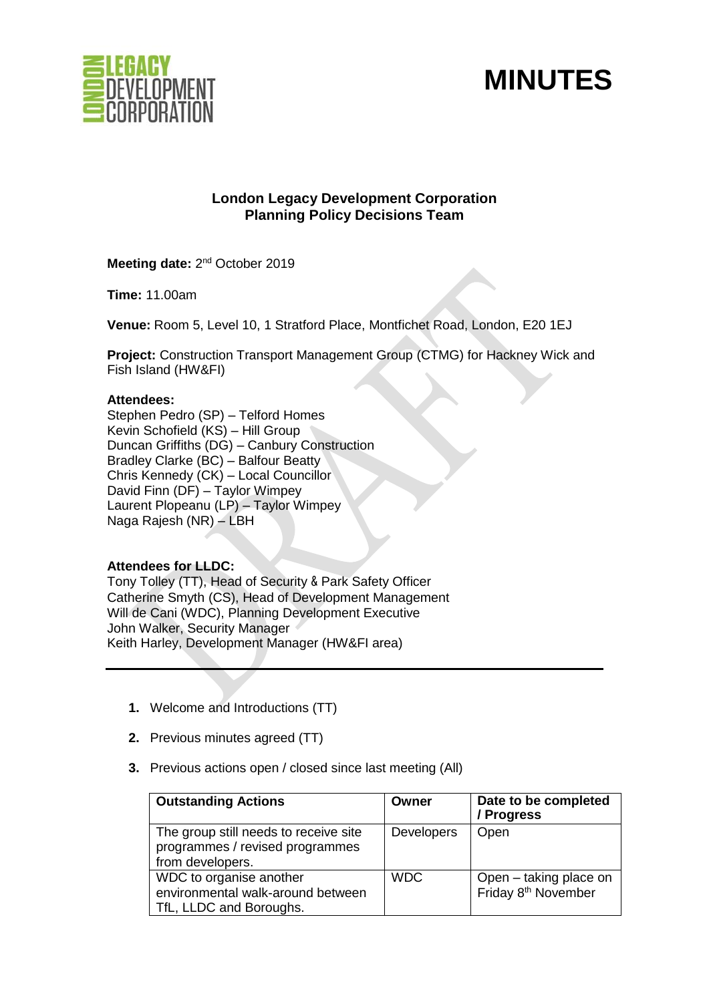

# **MINUTES**

# **London Legacy Development Corporation Planning Policy Decisions Team**

Meeting date: 2<sup>nd</sup> October 2019

**Time:** 11.00am

**Venue:** Room 5, Level 10, 1 Stratford Place, Montfichet Road, London, E20 1EJ

**Project:** Construction Transport Management Group (CTMG) for Hackney Wick and Fish Island (HW&FI)

#### **Attendees:**

Stephen Pedro (SP) – Telford Homes Kevin Schofield (KS) – Hill Group Duncan Griffiths (DG) – Canbury Construction Bradley Clarke (BC) – Balfour Beatty Chris Kennedy (CK) – Local Councillor David Finn (DF) – Taylor Wimpey Laurent Plopeanu (LP) – Taylor Wimpey Naga Rajesh (NR) – LBH

## **Attendees for LLDC:**

Tony Tolley (TT), Head of Security & Park Safety Officer Catherine Smyth (CS), Head of Development Management Will de Cani (WDC), Planning Development Executive John Walker, Security Manager Keith Harley, Development Manager (HW&FI area)

- **1.** Welcome and Introductions (TT)
- **2.** Previous minutes agreed (TT)
- **3.** Previous actions open / closed since last meeting (All)

| <b>Outstanding Actions</b>                                                                   | Owner             | Date to be completed<br>/ Progress                        |
|----------------------------------------------------------------------------------------------|-------------------|-----------------------------------------------------------|
| The group still needs to receive site<br>programmes / revised programmes<br>from developers. | <b>Developers</b> | Open                                                      |
| WDC to organise another<br>environmental walk-around between<br>TfL, LLDC and Boroughs.      | <b>WDC</b>        | Open - taking place on<br>Friday 8 <sup>th</sup> November |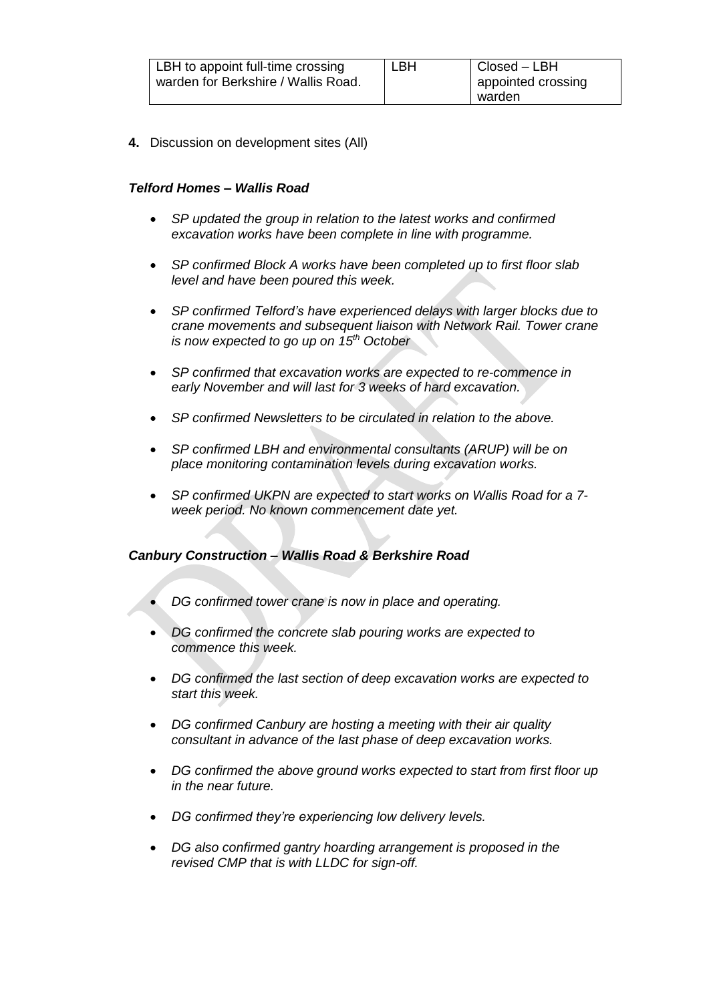**4.** Discussion on development sites (All)

## *Telford Homes – Wallis Road*

- *SP updated the group in relation to the latest works and confirmed excavation works have been complete in line with programme.*
- *SP confirmed Block A works have been completed up to first floor slab level and have been poured this week.*
- *SP confirmed Telford's have experienced delays with larger blocks due to crane movements and subsequent liaison with Network Rail. Tower crane is now expected to go up on 15th October*
- *SP confirmed that excavation works are expected to re-commence in early November and will last for 3 weeks of hard excavation.*
- *SP confirmed Newsletters to be circulated in relation to the above.*
- *SP confirmed LBH and environmental consultants (ARUP) will be on place monitoring contamination levels during excavation works.*
- *SP confirmed UKPN are expected to start works on Wallis Road for a 7 week period. No known commencement date yet.*

#### *Canbury Construction – Wallis Road & Berkshire Road*

- *DG confirmed tower crane is now in place and operating.*
- *DG confirmed the concrete slab pouring works are expected to commence this week.*
- *DG confirmed the last section of deep excavation works are expected to start this week.*
- *DG confirmed Canbury are hosting a meeting with their air quality consultant in advance of the last phase of deep excavation works.*
- *DG confirmed the above ground works expected to start from first floor up in the near future.*
- *DG confirmed they're experiencing low delivery levels.*
- *DG also confirmed gantry hoarding arrangement is proposed in the revised CMP that is with LLDC for sign-off.*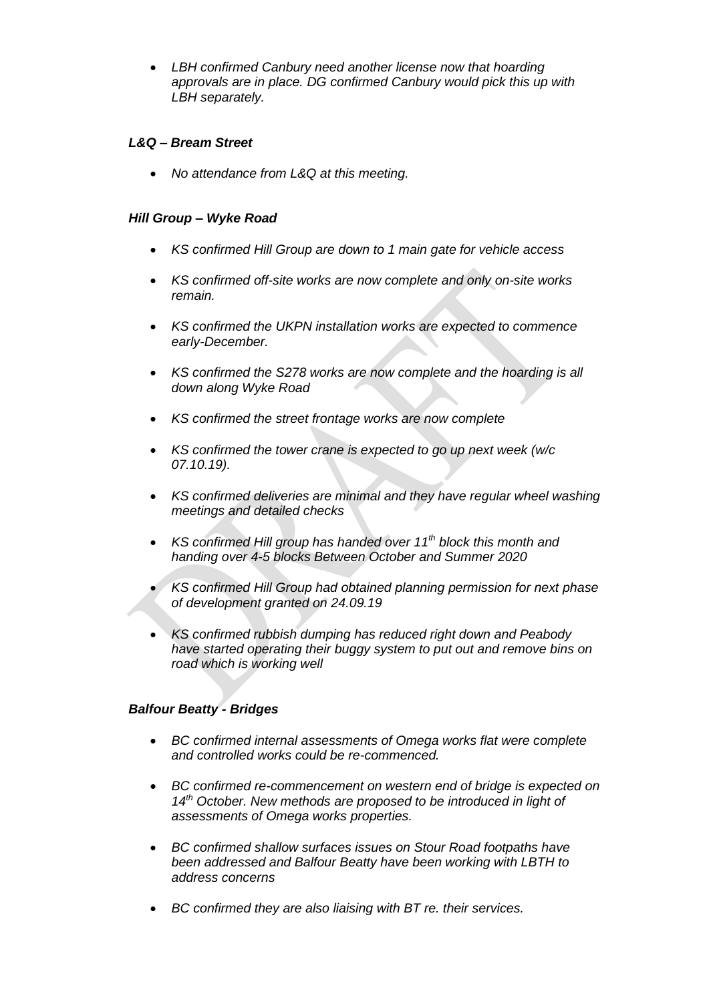• *LBH confirmed Canbury need another license now that hoarding approvals are in place. DG confirmed Canbury would pick this up with LBH separately.* 

## *L&Q – Bream Street*

• *No attendance from L&Q at this meeting.* 

## *Hill Group – Wyke Road*

- *KS confirmed Hill Group are down to 1 main gate for vehicle access*
- *KS confirmed off-site works are now complete and only on-site works remain.*
- *KS confirmed the UKPN installation works are expected to commence early-December.*
- *KS confirmed the S278 works are now complete and the hoarding is all down along Wyke Road*
- *KS confirmed the street frontage works are now complete*
- *KS confirmed the tower crane is expected to go up next week (w/c 07.10.19).*
- *KS confirmed deliveries are minimal and they have regular wheel washing meetings and detailed checks*
- *KS confirmed Hill group has handed over 11th block this month and handing over 4-5 blocks Between October and Summer 2020*
- *KS confirmed Hill Group had obtained planning permission for next phase of development granted on 24.09.19*
- *KS confirmed rubbish dumping has reduced right down and Peabody have started operating their buggy system to put out and remove bins on road which is working well*

#### *Balfour Beatty - Bridges*

- *BC confirmed internal assessments of Omega works flat were complete and controlled works could be re-commenced.*
- *BC confirmed re-commencement on western end of bridge is expected on 14th October. New methods are proposed to be introduced in light of assessments of Omega works properties.*
- *BC confirmed shallow surfaces issues on Stour Road footpaths have been addressed and Balfour Beatty have been working with LBTH to address concerns*
- *BC confirmed they are also liaising with BT re. their services.*